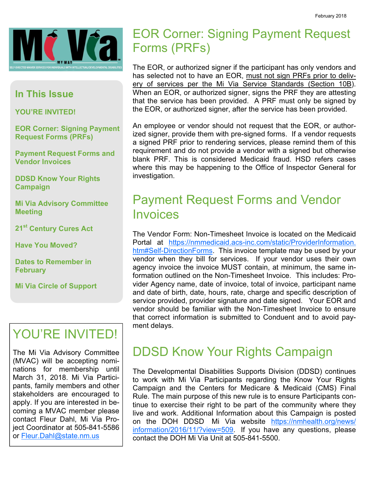

#### In This Issue

YOU'RE INVITED!

EOR Corner: Signing Payment Request Forms (PRFs)

Payment Request Forms and Vendor Invoices

DDSD Know Your Rights Campaign

Mi Via Advisory Committee Meeting

21st Century Cures Act

Have You Moved?

Dates to Remember in **February** 

Mi Via Circle of Support

# YOU'RE INVITED!

The Mi Via Advisory Committee (MVAC) will be accepting nominations for membership until March 31, 2018. Mi Via Participants, family members and other stakeholders are encouraged to apply. If you are interested in becoming a MVAC member please contact Fleur Dahl, Mi Via Project Coordinator at 505-841-5586 or Fleur.Dahl@state.nm.us

# EOR Corner: Signing Payment Request Forms (PRFs)

The EOR, or authorized signer if the participant has only vendors and has selected not to have an EOR, must not sign PRFs prior to delivery of services per the Mi Via Service Standards (Section 10B). When an EOR, or authorized signer, signs the PRF they are attesting that the service has been provided. A PRF must only be signed by the EOR, or authorized signer, after the service has been provided.

An employee or vendor should not request that the EOR, or authorized signer, provide them with pre-signed forms. If a vendor requests a signed PRF prior to rendering services, please remind them of this requirement and do not provide a vendor with a signed but otherwise blank PRF. This is considered Medicaid fraud. HSD refers cases where this may be happening to the Office of Inspector General for investigation.

## Payment Request Forms and Vendor Invoices

The Vendor Form: Non-Timesheet Invoice is located on the Medicaid Portal at https://nmmedicaid.acs-inc.com/static/ProviderInformation. htm#Self-DirectionForms. This invoice template may be used by your vendor when they bill for services. If your vendor uses their own agency invoice the invoice MUST contain, at minimum, the same information outlined on the Non-Timesheet Invoice. This includes: Provider Agency name, date of invoice, total of invoice, participant name and date of birth, date, hours, rate, charge and specific description of service provided, provider signature and date signed. Your EOR and vendor should be familiar with the Non-Timesheet Invoice to ensure that correct information is submitted to Conduent and to avoid payment delays.

## DDSD Know Your Rights Campaign

The Developmental Disabilities Supports Division (DDSD) continues to work with Mi Via Participants regarding the Know Your Rights Campaign and the Centers for Medicare & Medicaid (CMS) Final Rule. The main purpose of this new rule is to ensure Participants continue to exercise their right to be part of the community where they live and work. Additional Information about this Campaign is posted on the DOH DDSD Mi Via website https://nmhealth.org/news/ information/2016/11/?view=509. If you have any questions, please contact the DOH Mi Via Unit at 505-841-5500.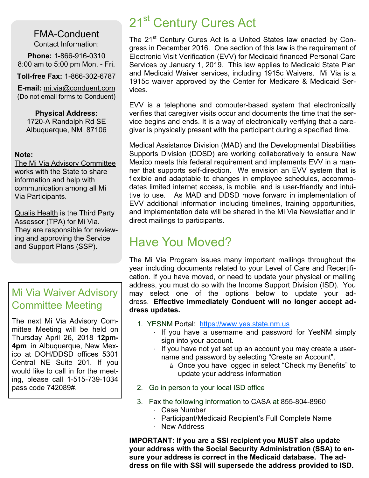FMA-Conduent Contact Information:

Phone: 1-866-916-0310 8:00 am to 5:00 pm Mon. - Fri.

Toll-free Fax: 1-866-302-6787

E-mail: mi.via@conduent.com (Do not email forms to Conduent)

Physical Address: 1720-A Randolph Rd SE Albuquerque, NM 87106

#### Note:

The Mi Via Advisory Committee works with the State to share information and help with communication among all Mi Via Participants.

**Qualis Health is the Third Party** Assessor (TPA) for Mi Via. They are responsible for reviewing and approving the Service and Support Plans (SSP).

### Mi Via Waiver Advisory Committee Meeting

The next Mi Via Advisory Committee Meeting will be held on Thursday April 26, 2018 12pm-4pm in Albuquerque, New Mexico at DOH/DDSD offices 5301 Central NE Suite 201. If you would like to call in for the meeting, please call 1-515-739-1034 pass code 742089#.

# 21<sup>st</sup> Century Cures Act

The 21<sup>st</sup> Century Cures Act is a United States law enacted by Congress in December 2016. One section of this law is the requirement of Electronic Visit Verification (EVV) for Medicaid financed Personal Care Services by January 1, 2019. This law applies to Medicaid State Plan and Medicaid Waiver services, including 1915c Waivers. Mi Via is a 1915c waiver approved by the Center for Medicare & Medicaid Services.

EVV is a telephone and computer-based system that electronically verifies that caregiver visits occur and documents the time that the service begins and ends. It is a way of electronically verifying that a caregiver is physically present with the participant during a specified time.

Medical Assistance Division (MAD) and the Developmental Disabilities Supports Division (DDSD) are working collaboratively to ensure New Mexico meets this federal requirement and implements EVV in a manner that supports self-direction. We envision an EVV system that is flexible and adaptable to changes in employee schedules, accommodates limited internet access, is mobile, and is user-friendly and intuitive to use. As MAD and DDSD move forward in implementation of EVV additional information including timelines, training opportunities, and implementation date will be shared in the Mi Via Newsletter and in direct mailings to participants.

# Have You Moved?

The Mi Via Program issues many important mailings throughout the year including documents related to your Level of Care and Recertification. If you have moved, or need to update your physical or mailing address, you must do so with the Income Support Division (ISD). You may select one of the options below to update your address. Effective immediately Conduent will no longer accept address updates.

- 1. YESNM Portal: https://www.yes.state.nm.us
	- If you have a username and password for YesNM simply sign into your account.
	- · If you have not yet set up an account you may create a username and password by selecting "Create an Account".
		- à Once you have logged in select "Check my Benefits" to update your address information
- 2. Go in person to your local ISD office
- 3. Fax the following information to CASA at 855-804-8960
	- · Case Number
	- · Participant/Medicaid Recipient's Full Complete Name
	- · New Address

IMPORTANT: If you are a SSI recipient you MUST also update your address with the Social Security Administration (SSA) to ensure your address is correct in the Medicaid database. The address on file with SSI will supersede the address provided to ISD.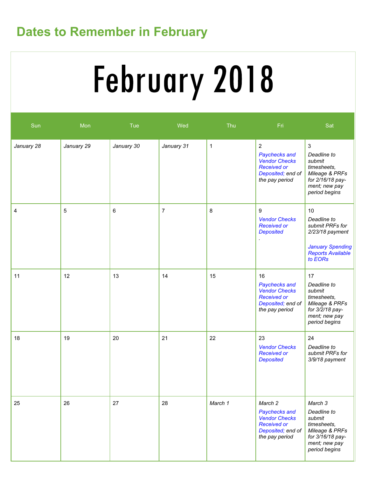# Dates to Remember in February

# February 2018

| Sun        | Mon         | Tue            | Wed            | Thu          | Fri                                                                                                                  | Sat                                                                                                                          |
|------------|-------------|----------------|----------------|--------------|----------------------------------------------------------------------------------------------------------------------|------------------------------------------------------------------------------------------------------------------------------|
| January 28 | January 29  | January 30     | January 31     | $\mathbf{1}$ | $\overline{2}$<br>Paychecks and<br><b>Vendor Checks</b><br><b>Received or</b><br>Deposited; end of<br>the pay period | $\mathbf{3}$<br>Deadline to<br>submit<br>timesheets,<br>Mileage & PRFs<br>for 2/16/18 pay-<br>ment; new pay<br>period begins |
| 4          | $\mathbf 5$ | $6\phantom{1}$ | $\overline{7}$ | 8            | 9<br><b>Vendor Checks</b><br><b>Received or</b><br><b>Deposited</b>                                                  | 10<br>Deadline to<br>submit PRFs for<br>2/23/18 payment<br><b>January Spending</b><br><b>Reports Available</b><br>to EORs    |
| 11         | 12          | 13             | 14             | 15           | 16<br>Paychecks and<br><b>Vendor Checks</b><br><b>Received or</b><br>Deposited; end of<br>the pay period             | 17<br>Deadline to<br>submit<br>timesheets,<br>Mileage & PRFs<br>for 3/2/18 pay-<br>ment; new pay<br>period begins            |
| 18         | 19          | 20             | 21             | 22           | 23<br><b>Vendor Checks</b><br><b>Received or</b><br><b>Deposited</b>                                                 | 24<br>Deadline to<br>submit PRFs for<br>3/9/18 payment                                                                       |
| 25         | 26          | 27             | 28             | March 1      | March 2<br>Paychecks and<br><b>Vendor Checks</b><br><b>Received or</b><br>Deposited; end of<br>the pay period        | March 3<br>Deadline to<br>submit<br>timesheets,<br>Mileage & PRFs<br>for 3/16/18 pay-<br>ment; new pay<br>period begins      |